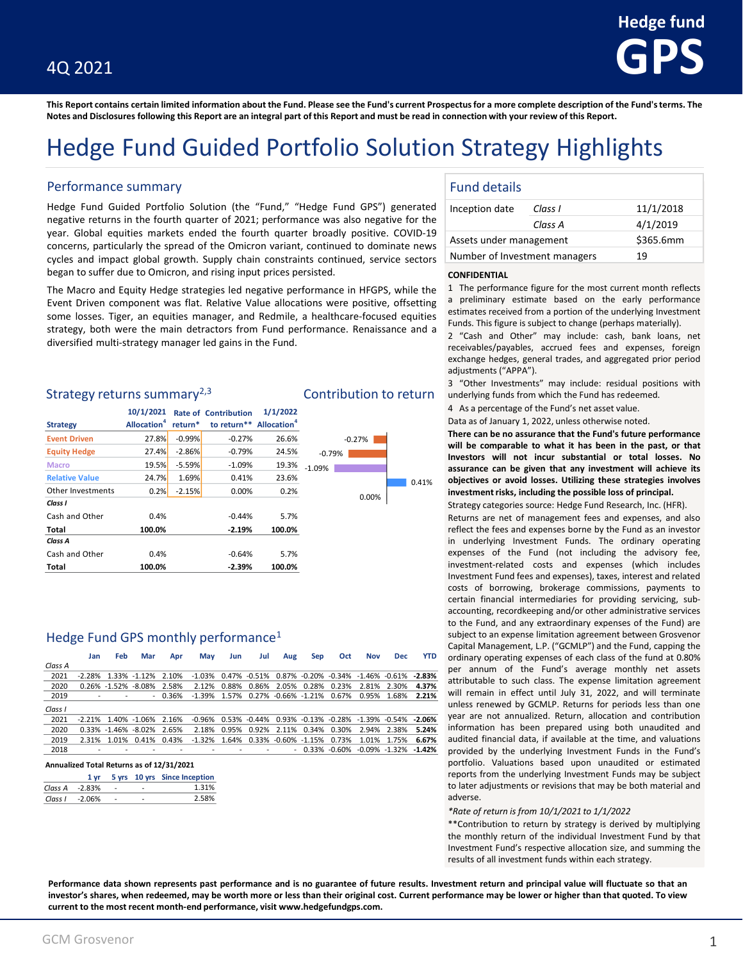**This Report contains certain limited information about the Fund. Please see the Fund's current Prospectus for a more complete description of the Fund's terms. The Notes and Disclosures following this Report are an integral part of this Report and must be read in connection with your review of this Report.**

## Hedge Fund Guided Portfolio Solution Strategy Highlights

### Performance summary

Hedge Fund Guided Portfolio Solution (the "Fund," "Hedge Fund GPS") generated negative returns in the fourth quarter of 2021; performance was also negative for the year. Global equities markets ended the fourth quarter broadly positive. COVID-19 concerns, particularly the spread of the Omicron variant, continued to dominate news cycles and impact global growth. Supply chain constraints continued, service sectors began to suffer due to Omicron, and rising input prices persisted.

The Macro and Equity Hedge strategies led negative performance in HFGPS, while the Event Driven component was flat. Relative Value allocations were positive, offsetting some losses. Tiger, an equities manager, and Redmile, a healthcare-focused equities strategy, both were the main detractors from Fund performance. Renaissance and a diversified multi-strategy manager led gains in the Fund.

### Strategy returns summary<sup>2,3</sup> Contribution to return

|                       | 10/1/2021                      |          | <b>Rate of Contribution</b>         | 1/1/2022 |          |
|-----------------------|--------------------------------|----------|-------------------------------------|----------|----------|
| <b>Strategy</b>       | <b>Allocation</b> <sup>4</sup> | return*  | to return** Allocation <sup>4</sup> |          |          |
| <b>Event Driven</b>   | 27.8%                          | $-0.99%$ | $-0.27%$                            | 26.6%    |          |
| <b>Equity Hedge</b>   | 27.4%                          | $-2.86%$ | $-0.79%$                            | 24.5%    | $-0.79$  |
| <b>Macro</b>          | 19.5%                          | $-5.59%$ | $-1.09%$                            | 19.3%    | $-1.09%$ |
| <b>Relative Value</b> | 24.7%                          | 1.69%    | 0.41%                               | 23.6%    |          |
| Other Investments     | 0.2%                           | $-2.15%$ | 0.00%                               | 0.2%     |          |
| Class I               |                                |          |                                     |          |          |
| Cash and Other        | 0.4%                           |          | $-0.44%$                            | 5.7%     |          |
| Total                 | 100.0%                         |          | $-2.19%$                            | 100.0%   |          |
| Class A               |                                |          |                                     |          |          |
| Cash and Other        | 0.4%                           |          | $-0.64%$                            | 5.7%     |          |
| Total                 | 100.0%                         |          | $-2.39%$                            | 100.0%   |          |

### Hedge Fund GPS monthly performance<sup>1</sup>

|         | Jan                      | Feb   | Mar                            | Apr      | May                                                                               | Jun | Jul | Aug | Sep | Oct                                 | <b>Nov</b>                                                                        | <b>Dec</b>  | <b>YTD</b> |
|---------|--------------------------|-------|--------------------------------|----------|-----------------------------------------------------------------------------------|-----|-----|-----|-----|-------------------------------------|-----------------------------------------------------------------------------------|-------------|------------|
| Class A |                          |       |                                |          |                                                                                   |     |     |     |     |                                     |                                                                                   |             |            |
| 2021    | $-228%$                  |       | 1.33% -1.12% 2.10%             |          | $-1.03\%$ 0.47% $-0.51\%$ 0.87% $-0.20\%$ $-0.34\%$ $-1.46\%$ $-0.61\%$ $-2.83\%$ |     |     |     |     |                                     |                                                                                   |             |            |
| 2020    |                          |       | 0.26% -1.52% -8.08% 2.58%      |          |                                                                                   |     |     |     |     | 2.12% 0.88% 0.86% 2.05% 0.28% 0.23% | 2.81% 2.30%                                                                       |             | 4.37%      |
| 2019    |                          |       |                                | $-0.36%$ |                                                                                   |     |     |     |     |                                     | $-1.39\%$ 1.57% 0.27% $-0.66\%$ $-1.21\%$ 0.67% 0.95% 1.68%                       |             | 2.21%      |
| Class I |                          |       |                                |          |                                                                                   |     |     |     |     |                                     |                                                                                   |             |            |
| 2021    | $-2.21\%$                |       | 1.40% -1.06% 2.16%             |          |                                                                                   |     |     |     |     |                                     | $-0.96\%$ 0.53% $-0.44\%$ 0.93% $-0.13\%$ $-0.28\%$ $-1.39\%$ $-0.54\%$ $-2.06\%$ |             |            |
| 2020    |                          |       | $0.33\% -1.46\% -8.02\%$ 2.65% |          |                                                                                   |     |     |     |     | 2.18% 0.95% 0.92% 2.11% 0.34% 0.30% | 2.94% 2.38%                                                                       |             | 5.24%      |
| 2019    | 2 31%                    | 1 01% | 0.41% 0.43%                    |          | $-1.32\%$ 1.64% 0.33% $-0.60\%$ $-1.15\%$ 0.73%                                   |     |     |     |     |                                     |                                                                                   | 1.01% 1.75% | 6.67%      |
| 2018    | $\overline{\phantom{0}}$ |       |                                |          |                                                                                   |     |     |     |     |                                     | $-0.33\%$ $-0.60\%$ $-0.09\%$ $-1.32\%$                                           |             | $-1.42%$   |

#### **Annualized Total Returns as of 12/31/2021**

|                    |  | 1 yr 5 yrs 10 yrs Since Inception |
|--------------------|--|-----------------------------------|
|                    |  | 1.31%                             |
| $Class 1 - 2.06\%$ |  | 2.58%                             |

|          | $-0.27%$ |  |       |
|----------|----------|--|-------|
| $-0.79%$ |          |  |       |
| $-1.09%$ |          |  |       |
|          |          |  | 0.41% |
|          | 0.00%    |  |       |

### Fund details

| Inception date                | Class I   | 11/1/2018 |
|-------------------------------|-----------|-----------|
|                               | Class A   | 4/1/2019  |
| Assets under management       | \$365.6mm |           |
| Number of Investment managers | 19        |           |

#### **CONFIDENTIAL**

1 The performance figure for the most current month reflects a preliminary estimate based on the early performance estimates received from a portion of the underlying Investment Funds. This figure is subject to change (perhaps materially).

2 "Cash and Other" may include: cash, bank loans, net receivables/payables, accrued fees and expenses, foreign exchange hedges, general trades, and aggregated prior period adjustments ("APPA").

3 "Other Investments" may include: residual positions with underlying funds from which the Fund has redeemed.

4 As a percentage of the Fund's net asset value.

Data as of January 1, 2022, unless otherwise noted.

**There can be no assurance that the Fund's future performance will be comparable to what it has been in the past, or that Investors will not incur substantial or total losses. No assurance can be given that any investment will achieve its objectives or avoid losses. Utilizing these strategies involves investmentrisks, including the possible loss of principal.**

Strategy categories source: Hedge Fund Research, Inc. (HFR).

Returns are net of management fees and expenses, and also reflect the fees and expenses borne by the Fund as an investor in underlying Investment Funds. The ordinary operating expenses of the Fund (not including the advisory fee, investment-related costs and expenses (which includes Investment Fund fees and expenses), taxes, interest and related costs of borrowing, brokerage commissions, payments to certain financial intermediaries for providing servicing, subaccounting, recordkeeping and/or other administrative services to the Fund, and any extraordinary expenses of the Fund) are subject to an expense limitation agreement between Grosvenor Capital Management, L.P. ("GCMLP") and the Fund, capping the ordinary operating expenses of each class of the fund at 0.80% per annum of the Fund's average monthly net assets attributable to such class. The expense limitation agreement will remain in effect until July 31, 2022, and will terminate unless renewed by GCMLP. Returns for periods less than one year are not annualized. Return, allocation and contribution information has been prepared using both unaudited and audited financial data, if available at the time, and valuations provided by the underlying Investment Funds in the Fund's portfolio. Valuations based upon unaudited or estimated reports from the underlying Investment Funds may be subject to later adjustments or revisions that may be both material and adverse.

#### *\*Rate of return is from 10/1/2021 to 1/1/2022*

\*\*Contribution to return by strategy is derived by multiplying the monthly return of the individual Investment Fund by that Investment Fund's respective allocation size, and summing the results of all investment funds within each strategy.

Performance data shown represents past performance and is no guarantee of future results. Investment return and principal value will fluctuate so that an investor's shares, when redeemed, may be worth more or less than their original cost. Current performance may be lower or higher than that quoted. To view **current to the most recent month-end performance, visit www.hedgefundgps.com.**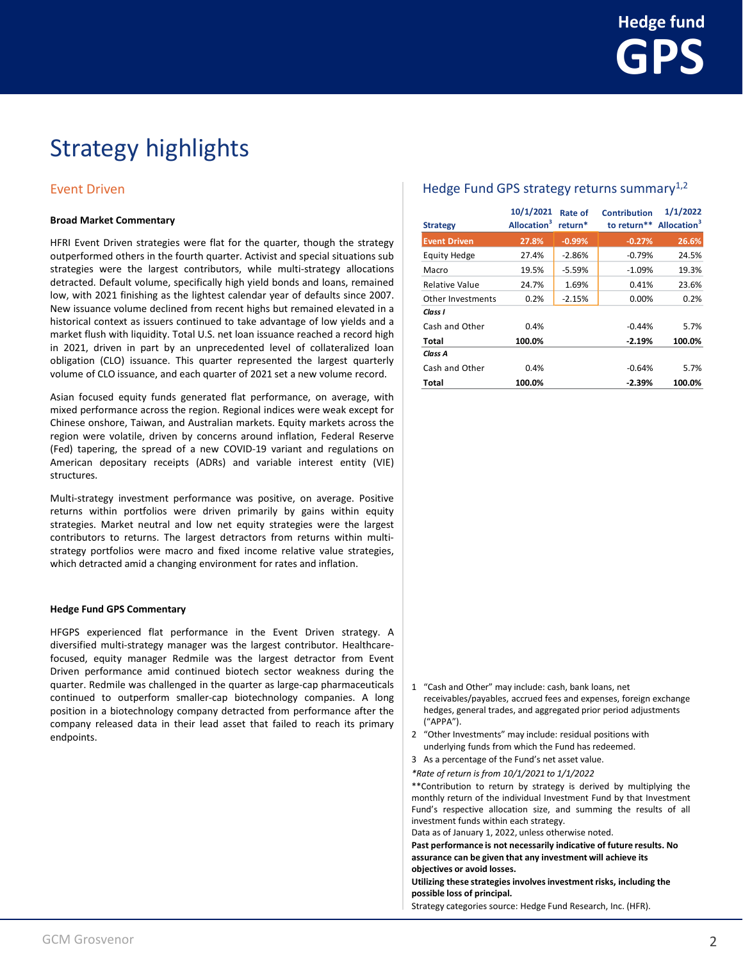## Event Driven

#### **Broad Market Commentary**

HFRI Event Driven strategies were flat for the quarter, though the strategy outperformed others in the fourth quarter. Activist and special situations sub strategies were the largest contributors, while multi-strategy allocations detracted. Default volume, specifically high yield bonds and loans, remained low, with 2021 finishing as the lightest calendar year of defaults since 2007. New issuance volume declined from recent highs but remained elevated in a historical context as issuers continued to take advantage of low yields and a market flush with liquidity. Total U.S. net loan issuance reached a record high in 2021, driven in part by an unprecedented level of collateralized loan obligation (CLO) issuance. This quarter represented the largest quarterly volume of CLO issuance, and each quarter of 2021 set a new volume record.

Asian focused equity funds generated flat performance, on average, with mixed performance across the region. Regional indices were weak except for Chinese onshore, Taiwan, and Australian markets. Equity markets across the region were volatile, driven by concerns around inflation, Federal Reserve (Fed) tapering, the spread of a new COVID-19 variant and regulations on American depositary receipts (ADRs) and variable interest entity (VIE) structures.

Multi-strategy investment performance was positive, on average. Positive returns within portfolios were driven primarily by gains within equity strategies. Market neutral and low net equity strategies were the largest contributors to returns. The largest detractors from returns within multistrategy portfolios were macro and fixed income relative value strategies, which detracted amid a changing environment for rates and inflation.

#### **Hedge Fund GPS Commentary**

HFGPS experienced flat performance in the Event Driven strategy. A diversified multi-strategy manager was the largest contributor. Healthcarefocused, equity manager Redmile was the largest detractor from Event Driven performance amid continued biotech sector weakness during the quarter. Redmile was challenged in the quarter as large-cap pharmaceuticals continued to outperform smaller-cap biotechnology companies. A long position in a biotechnology company detracted from performance after the company released data in their lead asset that failed to reach its primary endpoints.

## Hedge Fund GPS strategy returns summary $1,2$

| <b>Strategy</b>          | 10/1/2021<br>Allocation <sup>3</sup> | Rate of<br>return* | <b>Contribution</b><br>to return** | 1/1/2022<br>Allocation <sup>3</sup> |
|--------------------------|--------------------------------------|--------------------|------------------------------------|-------------------------------------|
| <b>Event Driven</b>      | 27.8%                                | $-0.99%$           | $-0.27%$                           | 26.6%                               |
| <b>Equity Hedge</b>      | 27.4%                                | $-2.86%$           | $-0.79%$                           | 24.5%                               |
| Macro                    | 19.5%                                | $-5.59%$           | $-1.09%$                           | 19.3%                               |
| <b>Relative Value</b>    | 24.7%                                | 1.69%              | 0.41%                              | 23.6%                               |
| <b>Other Investments</b> | 0.2%                                 | $-2.15%$           | 0.00%                              | 0.2%                                |
| Class I                  |                                      |                    |                                    |                                     |
| Cash and Other           | 0.4%                                 |                    | $-0.44%$                           | 5.7%                                |
| Total                    | 100.0%                               |                    | $-2.19%$                           | 100.0%                              |
| Class A                  |                                      |                    |                                    |                                     |
| Cash and Other           | 0.4%                                 |                    | $-0.64%$                           | 5.7%                                |
| Total                    | 100.0%                               |                    | $-2.39%$                           | 100.0%                              |

- 1 "Cash and Other" may include: cash, bank loans, net receivables/payables, accrued fees and expenses, foreign exchange hedges, general trades, and aggregated prior period adjustments ("APPA").
- 2 "Other Investments" may include: residual positions with underlying funds from which the Fund has redeemed.
- 3 As a percentage of the Fund's net asset value.
- *\*Rate of return is from 10/1/2021 to 1/1/2022*

\*\*Contribution to return by strategy is derived by multiplying the monthly return of the individual Investment Fund by that Investment Fund's respective allocation size, and summing the results of all investment funds within each strategy.

Data as of January 1, 2022, unless otherwise noted.

**Past performance is not necessarily indicative of future results. No assurance can be given that any investment will achieve its objectives or avoid losses.**

**Utilizing these strategies involves investment risks, including the possible loss of principal.**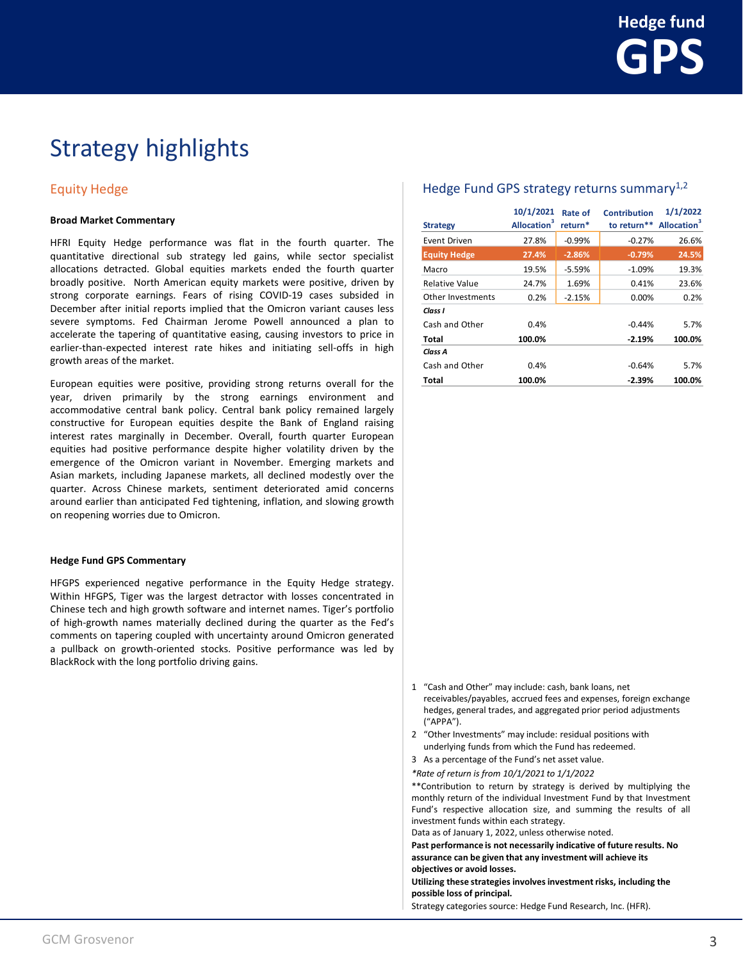## Equity Hedge

#### **Broad Market Commentary**

HFRI Equity Hedge performance was flat in the fourth quarter. The quantitative directional sub strategy led gains, while sector specialist allocations detracted. Global equities markets ended the fourth quarter broadly positive. North American equity markets were positive, driven by strong corporate earnings. Fears of rising COVID-19 cases subsided in December after initial reports implied that the Omicron variant causes less severe symptoms. Fed Chairman Jerome Powell announced a plan to accelerate the tapering of quantitative easing, causing investors to price in earlier-than-expected interest rate hikes and initiating sell-offs in high growth areas of the market.

European equities were positive, providing strong returns overall for the year, driven primarily by the strong earnings environment and accommodative central bank policy. Central bank policy remained largely constructive for European equities despite the Bank of England raising interest rates marginally in December. Overall, fourth quarter European equities had positive performance despite higher volatility driven by the emergence of the Omicron variant in November. Emerging markets and Asian markets, including Japanese markets, all declined modestly over the quarter. Across Chinese markets, sentiment deteriorated amid concerns around earlier than anticipated Fed tightening, inflation, and slowing growth on reopening worries due to Omicron.

### **Hedge Fund GPS Commentary**

HFGPS experienced negative performance in the Equity Hedge strategy. Within HFGPS, Tiger was the largest detractor with losses concentrated in Chinese tech and high growth software and internet names. Tiger's portfolio of high-growth names materially declined during the quarter as the Fed's comments on tapering coupled with uncertainty around Omicron generated a pullback on growth-oriented stocks. Positive performance was led by BlackRock with the long portfolio driving gains.

## Hedge Fund GPS strategy returns summary $1,2$

| <b>Strategy</b>       | 10/1/2021<br>Allocation <sup>3</sup> | Rate of<br>return* | <b>Contribution</b><br>to return** | 1/1/2022<br>Allocation <sup>3</sup> |
|-----------------------|--------------------------------------|--------------------|------------------------------------|-------------------------------------|
| Event Driven          | 27.8%                                | $-0.99%$           | $-0.27%$                           | 26.6%                               |
| <b>Equity Hedge</b>   | 27.4%                                | $-2.86%$           | $-0.79%$                           | 24.5%                               |
| Macro                 | 19.5%                                | $-5.59%$           | $-1.09%$                           | 19.3%                               |
| <b>Relative Value</b> | 24.7%                                | 1.69%              | 0.41%                              | 23.6%                               |
| Other Investments     | 0.2%                                 | $-2.15%$           | 0.00%                              | 0.2%                                |
| Class I               |                                      |                    |                                    |                                     |
| Cash and Other        | 0.4%                                 |                    | $-0.44%$                           | 5.7%                                |
| Total                 | 100.0%                               |                    | $-2.19%$                           | 100.0%                              |
| Class A               |                                      |                    |                                    |                                     |
| Cash and Other        | 0.4%                                 |                    | $-0.64%$                           | 5.7%                                |
| Total                 | 100.0%                               |                    | $-2.39%$                           | 100.0%                              |

- 1 "Cash and Other" may include: cash, bank loans, net receivables/payables, accrued fees and expenses, foreign exchange hedges, general trades, and aggregated prior period adjustments ("APPA").
- 2 "Other Investments" may include: residual positions with underlying funds from which the Fund has redeemed.
- 3 As a percentage of the Fund's net asset value.
- *\*Rate of return is from 10/1/2021 to 1/1/2022*

\*\*Contribution to return by strategy is derived by multiplying the monthly return of the individual Investment Fund by that Investment Fund's respective allocation size, and summing the results of all investment funds within each strategy.

Data as of January 1, 2022, unless otherwise noted.

**Past performance is not necessarily indicative of future results. No assurance can be given that any investment will achieve its objectives or avoid losses.**

**Utilizing these strategies involves investment risks, including the possible loss of principal.**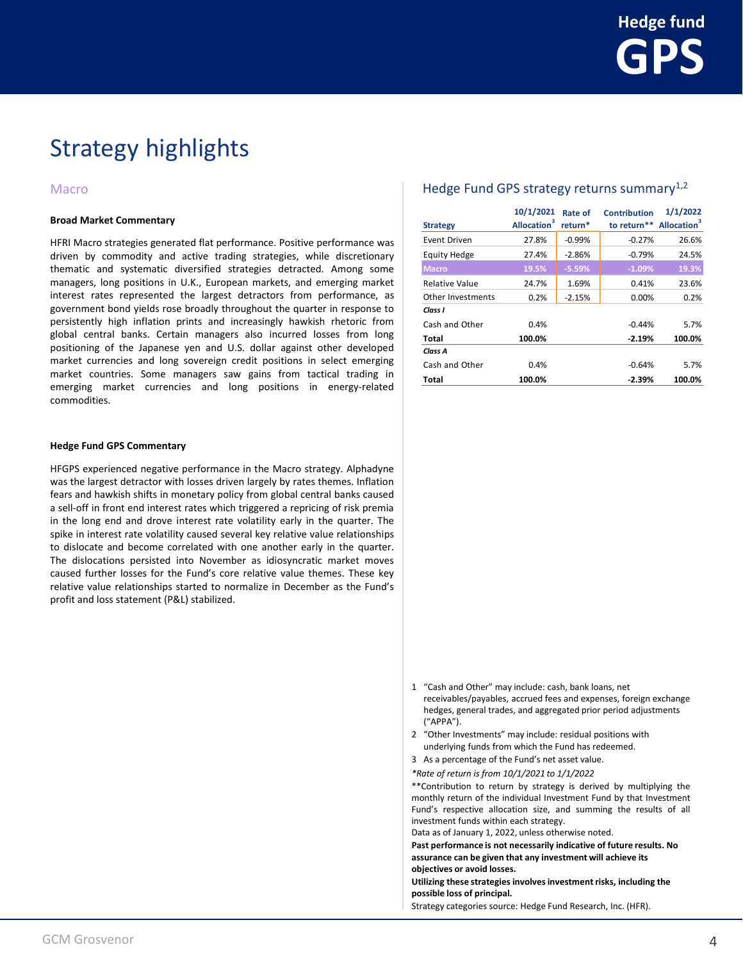### Macro

#### **Broad Market Commentary**

HFRI Macro strategies generated flat performance. Positive performance was driven by commodity and active trading strategies, while discretionary thematic and systematic diversified strategies detracted. Among some managers, long positions in U.K., European markets, and emerging market interest rates represented the largest detractors from performance, as government bond yields rose broadly throughout the quarter in response to persistently high inflation prints and increasingly hawkish rhetoric from global central banks. Certain managers also incurred losses from long positioning of the Japanese yen and U.S. dollar against other developed market currencies and long sovereign credit positions in select emerging market countries. Some managers saw gains from tactical trading in emerging market currencies and long positions in energy-related commodities.

### **Hedge Fund GPS Commentary**

HFGPS experienced negative performance in the Macro strategy. Alphadyne was the largest detractor with losses driven largely by rates themes. Inflation fears and hawkish shifts in monetary policy from global central banks caused a sell-off in front end interest rates which triggered a repricing of risk premia in the long end and drove interest rate volatility early in the quarter. The spike in interest rate volatility caused several key relative value relationships to dislocate and become correlated with one another early in the quarter. The dislocations persisted into November as idiosyncratic market moves caused further losses for the Fund's core relative value themes. These key relative value relationships started to normalize in December as the Fund's profit and loss statement (P&L) stabilized.

### Hedge Fund GPS strategy returns summary $1,2$

| <b>Strategy</b>       | 10/1/2021<br>Allocation <sup>3</sup> | Rate of<br>return* | <b>Contribution</b><br>to return <sup>**</sup> Allocation <sup>3</sup> | 1/1/2022 |
|-----------------------|--------------------------------------|--------------------|------------------------------------------------------------------------|----------|
| Event Driven          | 27.8%                                | $-0.99%$           | $-0.27%$                                                               | 26.6%    |
| <b>Equity Hedge</b>   | 27.4%                                | $-2.86%$           | $-0.79%$                                                               | 24.5%    |
| <b>Macro</b>          | 19.5%                                | $-5.59%$           | $-1.09%$                                                               | 19.3%    |
| <b>Relative Value</b> | 24.7%                                | 1.69%              | 0.41%                                                                  | 23.6%    |
| Other Investments     | 0.2%                                 | $-2.15%$           | $0.00\%$                                                               | 0.2%     |
| Class I               |                                      |                    |                                                                        |          |
| Cash and Other        | 0.4%                                 |                    | $-0.44%$                                                               | 5.7%     |
| Total                 | 100.0%                               |                    | $-2.19%$                                                               | 100.0%   |
| Class A               |                                      |                    |                                                                        |          |
| Cash and Other        | 0.4%                                 |                    | $-0.64%$                                                               | 5.7%     |
| Total                 | 100.0%                               |                    | $-2.39%$                                                               | 100.0%   |

- 1 "Cash and Other" may include: cash, bank loans, net receivables/payables, accrued fees and expenses, foreign exchange hedges, general trades, and aggregated prior period adjustments ("APPA").
- 2 "Other Investments" may include: residual positions with underlying funds from which the Fund has redeemed.
- 3 As a percentage of the Fund's net asset value.
- *\*Rate of return is from 10/1/2021 to 1/1/2022*

\*\*Contribution to return by strategy is derived by multiplying the monthly return of the individual Investment Fund by that Investment Fund's respective allocation size, and summing the results of all investment funds within each strategy.

Data as of January 1, 2022, unless otherwise noted.

**Past performance is not necessarily indicative of future results. No assurance can be given that any investment will achieve its objectives or avoid losses.**

**Utilizing these strategies involves investment risks, including the possible loss of principal.**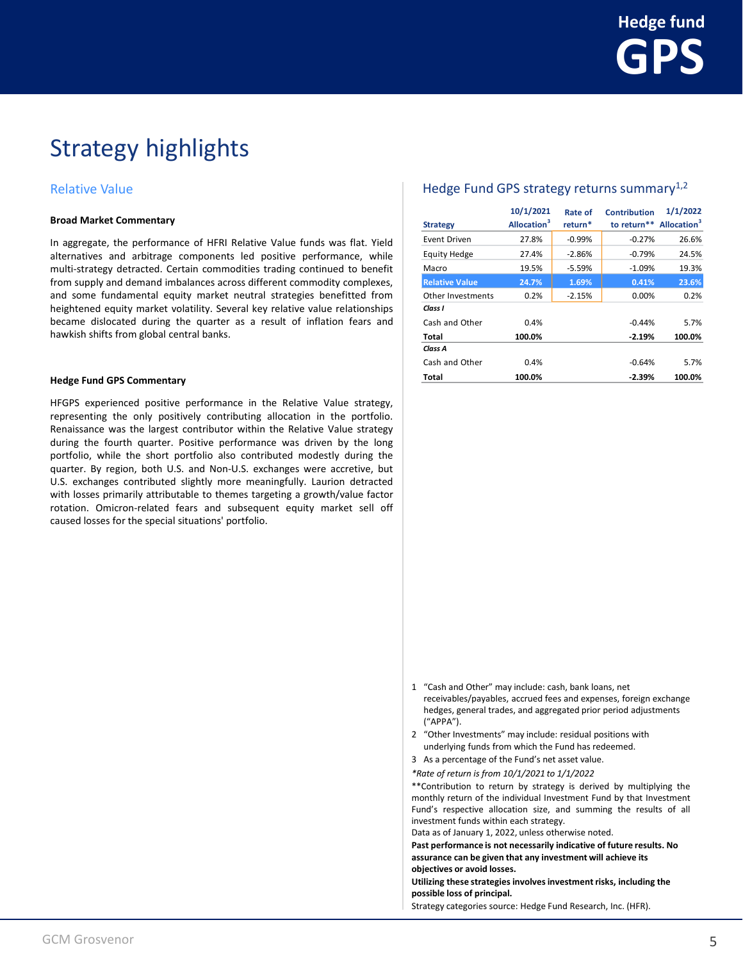## Relative Value

#### **Broad Market Commentary**

In aggregate, the performance of HFRI Relative Value funds was flat. Yield alternatives and arbitrage components led positive performance, while multi-strategy detracted. Certain commodities trading continued to benefit from supply and demand imbalances across different commodity complexes, and some fundamental equity market neutral strategies benefitted from heightened equity market volatility. Several key relative value relationships became dislocated during the quarter as a result of inflation fears and hawkish shifts from global central banks.

#### **Hedge Fund GPS Commentary**

HFGPS experienced positive performance in the Relative Value strategy, representing the only positively contributing allocation in the portfolio. Renaissance was the largest contributor within the Relative Value strategy during the fourth quarter. Positive performance was driven by the long portfolio, while the short portfolio also contributed modestly during the quarter. By region, both U.S. and Non-U.S. exchanges were accretive, but U.S. exchanges contributed slightly more meaningfully. Laurion detracted with losses primarily attributable to themes targeting a growth/value factor rotation. Omicron-related fears and subsequent equity market sell off caused losses for the special situations' portfolio.

## Hedge Fund GPS strategy returns summary<sup>1,2</sup>

| <b>Strategy</b>       | 10/1/2021<br>Allocation <sup>3</sup> | Rate of<br>return* | <b>Contribution</b><br>to return** Allocation <sup>3</sup> | 1/1/2022 |
|-----------------------|--------------------------------------|--------------------|------------------------------------------------------------|----------|
| Event Driven          | 27.8%                                | $-0.99%$           | $-0.27%$                                                   | 26.6%    |
| <b>Equity Hedge</b>   | 27.4%                                | $-2.86%$           | $-0.79%$                                                   | 24.5%    |
| Macro                 | 19.5%                                | $-5.59%$           | $-1.09%$                                                   | 19.3%    |
| <b>Relative Value</b> | 24.7%                                | 1.69%              | 0.41%                                                      | 23.6%    |
| Other Investments     | 0.2%                                 | $-2.15%$           | 0.00%                                                      | 0.2%     |
| Class I               |                                      |                    |                                                            |          |
| Cash and Other        | 0.4%                                 |                    | $-0.44%$                                                   | 5.7%     |
| <b>Total</b>          | 100.0%                               |                    | $-2.19%$                                                   | 100.0%   |
| Class A               |                                      |                    |                                                            |          |
| Cash and Other        | 0.4%                                 |                    | $-0.64%$                                                   | 5.7%     |
| Total                 | 100.0%                               |                    | $-2.39%$                                                   | 100.0%   |

- 1 "Cash and Other" may include: cash, bank loans, net receivables/payables, accrued fees and expenses, foreign exchange hedges, general trades, and aggregated prior period adjustments ("APPA").
- 2 "Other Investments" may include: residual positions with underlying funds from which the Fund has redeemed.
- 3 As a percentage of the Fund's net asset value.
- *\*Rate of return is from 10/1/2021 to 1/1/2022*

\*\*Contribution to return by strategy is derived by multiplying the monthly return of the individual Investment Fund by that Investment Fund's respective allocation size, and summing the results of all investment funds within each strategy.

Data as of January 1, 2022, unless otherwise noted.

**Past performance is not necessarily indicative of future results. No assurance can be given that any investment will achieve its objectives or avoid losses.**

**Utilizing these strategies involves investment risks, including the possible loss of principal.**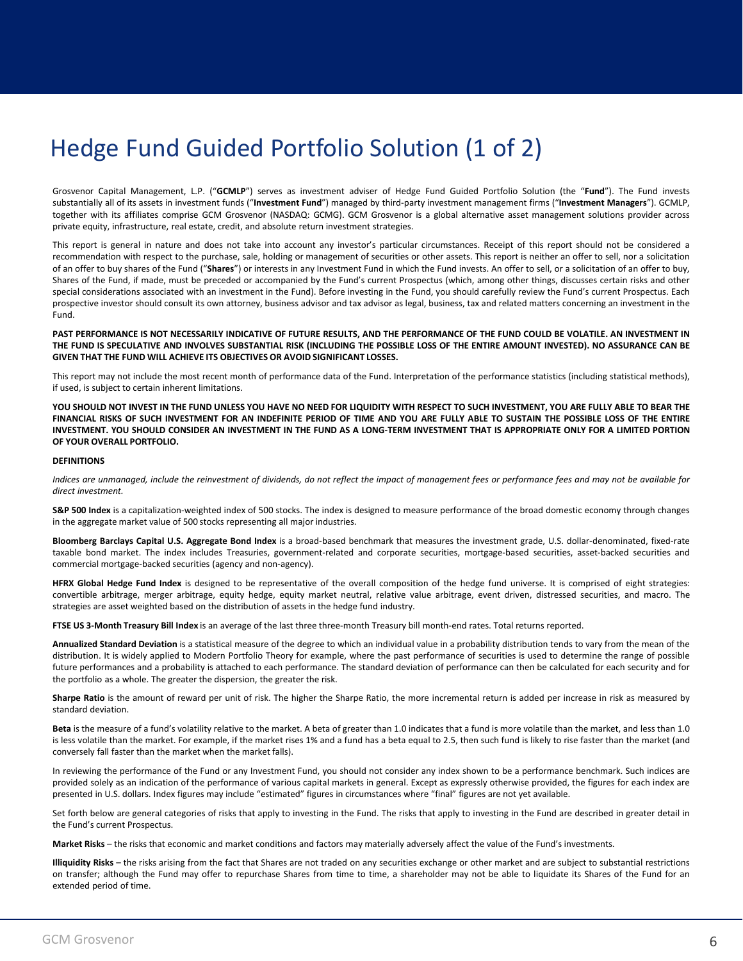## Hedge Fund Guided Portfolio Solution (1 of 2)

Grosvenor Capital Management, L.P. ("**GCMLP**") serves as investment adviser of Hedge Fund Guided Portfolio Solution (the "**Fund**"). The Fund invests substantially all of its assets in investment funds ("**Investment Fund**") managed by third-party investment management firms ("**Investment Managers**"). GCMLP, together with its affiliates comprise GCM Grosvenor (NASDAQ: GCMG). GCM Grosvenor is a global alternative asset management solutions provider across private equity, infrastructure, real estate, credit, and absolute return investment strategies.

This report is general in nature and does not take into account any investor's particular circumstances. Receipt of this report should not be considered a recommendation with respect to the purchase, sale, holding or management of securities or other assets. This report is neither an offer to sell, nor a solicitation of an offer to buy shares of the Fund ("**Shares**") or interests in any Investment Fund in which the Fund invests. An offer to sell, or a solicitation of an offer to buy, Shares of the Fund, if made, must be preceded or accompanied by the Fund's current Prospectus (which, among other things, discusses certain risks and other special considerations associated with an investment in the Fund). Before investing in the Fund, you should carefully review the Fund's current Prospectus. Each prospective investor should consult its own attorney, business advisor and tax advisor as legal, business, tax and related matters concerning an investment in the Fund.

PAST PERFORMANCE IS NOT NECESSARILY INDICATIVE OF FUTURE RESULTS, AND THE PERFORMANCE OF THE FUND COULD BE VOLATILE. AN INVESTMENT IN THE FUND IS SPECULATIVE AND INVOLVES SUBSTANTIAL RISK (INCLUDING THE POSSIBLE LOSS OF THE ENTIRE AMOUNT INVESTED). NO ASSURANCE CAN BE **GIVEN THAT THE FUND WILL ACHIEVE ITS OBJECTIVES OR AVOID SIGNIFICANT LOSSES.**

This report may not include the most recent month of performance data of the Fund. Interpretation of the performance statistics (including statistical methods), if used, is subject to certain inherent limitations.

YOU SHOULD NOT INVEST IN THE FUND UNLESS YOU HAVE NO NEED FOR LIQUIDITY WITH RESPECT TO SUCH INVESTMENT, YOU ARE FULLY ABLE TO BEAR THE FINANCIAL RISKS OF SUCH INVESTMENT FOR AN INDEFINITE PERIOD OF TIME AND YOU ARE FULLY ABLE TO SUSTAIN THE POSSIBLE LOSS OF THE ENTIRE INVESTMENT, YOU SHOULD CONSIDER AN INVESTMENT IN THE FUND AS A LONG-TERM INVESTMENT THAT IS APPROPRIATE ONLY FOR A LIMITED PORTION **OF YOUR OVERALL PORTFOLIO.**

#### **DEFINITIONS**

Indices are unmanaged, include the reinvestment of dividends, do not reflect the impact of management fees or performance fees and may not be available for *direct investment.*

**S&P 500 Index** is a capitalization-weighted index of 500 stocks. The index is designed to measure performance of the broad domestic economy through changes in the aggregate market value of 500 stocks representing all major industries.

**Bloomberg Barclays Capital U.S. Aggregate Bond Index** is a broad-based benchmark that measures the investment grade, U.S. dollar-denominated, fixed-rate taxable bond market. The index includes Treasuries, government-related and corporate securities, mortgage-based securities, asset-backed securities and commercial mortgage-backed securities (agency and non-agency).

**HFRX Global Hedge Fund Index** is designed to be representative of the overall composition of the hedge fund universe. It is comprised of eight strategies: convertible arbitrage, merger arbitrage, equity hedge, equity market neutral, relative value arbitrage, event driven, distressed securities, and macro. The strategies are asset weighted based on the distribution of assets in the hedge fund industry.

**FTSE US 3-Month Treasury Bill Index** is an average of the last three three-month Treasury bill month-end rates. Total returns reported.

**Annualized Standard Deviation** is a statistical measure of the degree to which an individual value in a probability distribution tends to vary from the mean of the distribution. It is widely applied to Modern Portfolio Theory for example, where the past performance of securities is used to determine the range of possible future performances and a probability is attached to each performance. The standard deviation of performance can then be calculated for each security and for the portfolio as a whole. The greater the dispersion, the greater the risk.

**Sharpe Ratio** is the amount of reward per unit of risk. The higher the Sharpe Ratio, the more incremental return is added per increase in risk as measured by standard deviation.

**Beta** is the measure of a fund's volatility relative to the market. A beta of greater than 1.0 indicates that a fund is more volatile than the market, and less than 1.0 is less volatile than the market. For example, if the market rises 1% and a fund has a beta equal to 2.5, then such fund is likely to rise faster than the market (and conversely fall faster than the market when the market falls).

In reviewing the performance of the Fund or any Investment Fund, you should not consider any index shown to be a performance benchmark. Such indices are provided solely as an indication of the performance of various capital markets in general. Except as expressly otherwise provided, the figures for each index are presented in U.S. dollars. Index figures may include "estimated" figures in circumstances where "final" figures are not yet available.

Set forth below are general categories of risks that apply to investing in the Fund. The risks that apply to investing in the Fund are described in greater detail in the Fund's current Prospectus.

**Market Risks** – the risks that economic and market conditions and factors may materially adversely affect the value of the Fund's investments.

**Illiquidity Risks** – the risks arising from the fact that Shares are not traded on any securities exchange or other market and are subject to substantial restrictions on transfer; although the Fund may offer to repurchase Shares from time to time, a shareholder may not be able to liquidate its Shares of the Fund for an extended period of time.